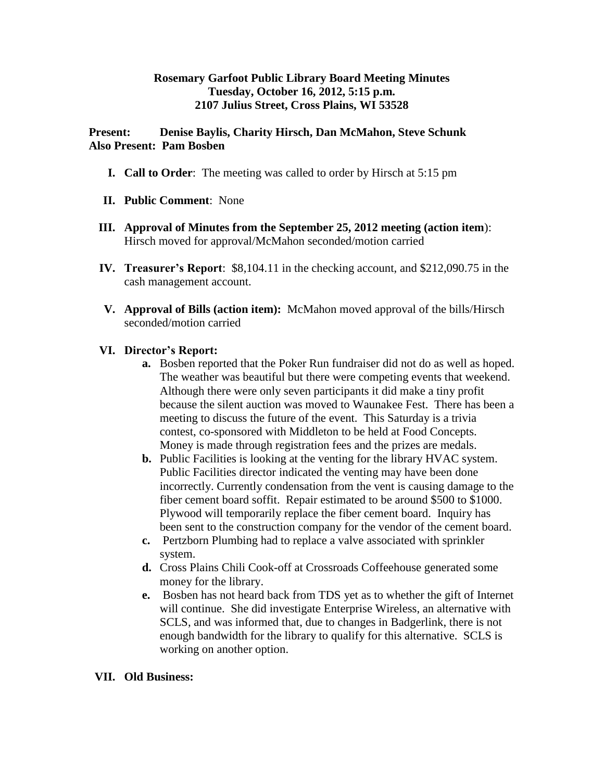## **Rosemary Garfoot Public Library Board Meeting Minutes Tuesday, October 16, 2012, 5:15 p.m. 2107 Julius Street, Cross Plains, WI 53528**

**Present: Denise Baylis, Charity Hirsch, Dan McMahon, Steve Schunk Also Present: Pam Bosben**

- **I. Call to Order**: The meeting was called to order by Hirsch at 5:15 pm
- **II. Public Comment**: None
- **III. Approval of Minutes from the September 25, 2012 meeting (action item**): Hirsch moved for approval/McMahon seconded/motion carried
- **IV. Treasurer's Report**: \$8,104.11 in the checking account, and \$212,090.75 in the cash management account.
- **V. Approval of Bills (action item):** McMahon moved approval of the bills/Hirsch seconded/motion carried

## **VI. Director's Report:**

- **a.** Bosben reported that the Poker Run fundraiser did not do as well as hoped. The weather was beautiful but there were competing events that weekend. Although there were only seven participants it did make a tiny profit because the silent auction was moved to Waunakee Fest. There has been a meeting to discuss the future of the event. This Saturday is a trivia contest, co-sponsored with Middleton to be held at Food Concepts. Money is made through registration fees and the prizes are medals.
- **b.** Public Facilities is looking at the venting for the library HVAC system. Public Facilities director indicated the venting may have been done incorrectly. Currently condensation from the vent is causing damage to the fiber cement board soffit. Repair estimated to be around \$500 to \$1000. Plywood will temporarily replace the fiber cement board. Inquiry has been sent to the construction company for the vendor of the cement board.
- **c.** Pertzborn Plumbing had to replace a valve associated with sprinkler system.
- **d.** Cross Plains Chili Cook-off at Crossroads Coffeehouse generated some money for the library.
- **e.** Bosben has not heard back from TDS yet as to whether the gift of Internet will continue. She did investigate Enterprise Wireless, an alternative with SCLS, and was informed that, due to changes in Badgerlink, there is not enough bandwidth for the library to qualify for this alternative. SCLS is working on another option.

## **VII. Old Business:**